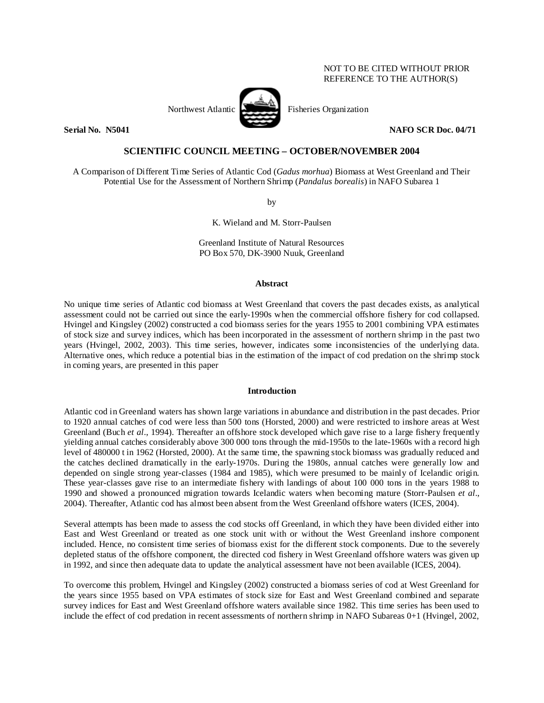# NOT TO BE CITED WITHOUT PRIOR REFERENCE TO THE AUTHOR(S)



**Serial No. 35041 NAFO** SCR Doc. 04/71

# **SCIENTIFIC COUNCIL MEETING – OCTOBER/NOVEMBER 2004**

A Comparison of Different Time Series of Atlantic Cod (*Gadus morhua*) Biomass at West Greenland and Their Potential Use for the Assessment of Northern Shrimp (*Pandalus borealis*) in NAFO Subarea 1

by

K. Wieland and M. Storr-Paulsen

Greenland Institute of Natural Resources PO Box 570, DK-3900 Nuuk, Greenland

#### **Abstract**

No unique time series of Atlantic cod biomass at West Greenland that covers the past decades exists, as analytical assessment could not be carried out since the early-1990s when the commercial offshore fishery for cod collapsed. Hvingel and Kingsley (2002) constructed a cod biomass series for the years 1955 to 2001 combining VPA estimates of stock size and survey indices, which has been incorporated in the assessment of northern shrimp in the past two years (Hvingel, 2002, 2003). This time series, however, indicates some inconsistencies of the underlying data. Alternative ones, which reduce a potential bias in the estimation of the impact of cod predation on the shrimp stock in coming years, are presented in this paper

#### **Introduction**

Atlantic cod in Greenland waters has shown large variations in abundance and distribution in the past decades. Prior to 1920 annual catches of cod were less than 500 tons (Horsted, 2000) and were restricted to inshore areas at West Greenland (Buch *et al*., 1994). Thereafter an offshore stock developed which gave rise to a large fishery frequently yielding annual catches considerably above 300 000 tons through the mid-1950s to the late-1960s with a record high level of 480000 t in 1962 (Horsted, 2000). At the same time, the spawning stock biomass was gradually reduced and the catches declined dramatically in the early-1970s. During the 1980s, annual catches were generally low and depended on single strong year-classes (1984 and 1985), which were presumed to be mainly of Icelandic origin. These year-classes gave rise to an intermediate fishery with landings of about 100 000 tons in the years 1988 to 1990 and showed a pronounced migration towards Icelandic waters when becoming mature (Storr-Paulsen *et al*., 2004). Thereafter, Atlantic cod has almost been absent from the West Greenland offshore waters (ICES, 2004).

Several attempts has been made to assess the cod stocks off Greenland, in which they have been divided either into East and West Greenland or treated as one stock unit with or without the West Greenland inshore component included. Hence, no consistent time series of biomass exist for the different stock components. Due to the severely depleted status of the offshore component, the directed cod fishery in West Greenland offshore waters was given up in 1992, and since then adequate data to update the analytical assessment have not been available (ICES, 2004).

To overcome this problem, Hvingel and Kingsley (2002) constructed a biomass series of cod at West Greenland for the years since 1955 based on VPA estimates of stock size for East and West Greenland combined and separate survey indices for East and West Greenland offshore waters available since 1982. This time series has been used to include the effect of cod predation in recent assessments of northern shrimp in NAFO Subareas 0+1 (Hvingel, 2002,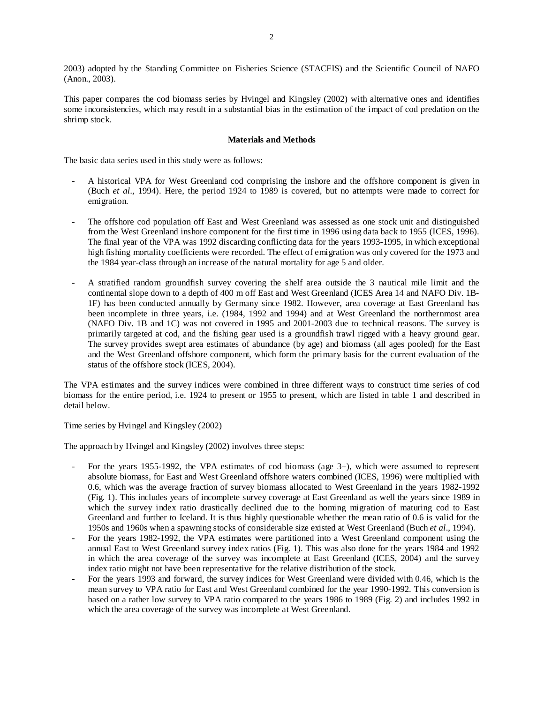2003) adopted by the Standing Committee on Fisheries Science (STACFIS) and the Scientific Council of NAFO (Anon., 2003).

This paper compares the cod biomass series by Hvingel and Kingsley (2002) with alternative ones and identifies some inconsistencies, which may result in a substantial bias in the estimation of the impact of cod predation on the shrimp stock.

## **Materials and Methods**

The basic data series used in this study were as follows:

- A historical VPA for West Greenland cod comprising the inshore and the offshore component is given in (Buch *et al*., 1994). Here, the period 1924 to 1989 is covered, but no attempts were made to correct for emigration.
- The offshore cod population off East and West Greenland was assessed as one stock unit and distinguished from the West Greenland inshore component for the first time in 1996 using data back to 1955 (ICES, 1996). The final year of the VPA was 1992 discarding conflicting data for the years 1993-1995, in which exceptional high fishing mortality coefficients were recorded. The effect of emigration was only covered for the 1973 and the 1984 year-class through an increase of the natural mortality for age 5 and older.
- A stratified random groundfish survey covering the shelf area outside the 3 nautical mile limit and the continental slope down to a depth of 400 m off East and West Greenland (ICES Area 14 and NAFO Div. 1B-1F) has been conducted annually by Germany since 1982. However, area coverage at East Greenland has been incomplete in three years, i.e. (1984, 1992 and 1994) and at West Greenland the northernmost area (NAFO Div. 1B and 1C) was not covered in 1995 and 2001-2003 due to technical reasons. The survey is primarily targeted at cod, and the fishing gear used is a groundfish trawl rigged with a heavy ground gear. The survey provides swept area estimates of abundance (by age) and biomass (all ages pooled) for the East and the West Greenland offshore component, which form the primary basis for the current evaluation of the status of the offshore stock (ICES, 2004).

The VPA estimates and the survey indices were combined in three different ways to construct time series of cod biomass for the entire period, i.e. 1924 to present or 1955 to present, which are listed in table 1 and described in detail below.

### Time series by Hvingel and Kingsley (2002)

The approach by Hvingel and Kingsley (2002) involves three steps:

- For the years 1955-1992, the VPA estimates of cod biomass (age 3+), which were assumed to represent absolute biomass, for East and West Greenland offshore waters combined (ICES, 1996) were multiplied with 0.6, which was the average fraction of survey biomass allocated to West Greenland in the years 1982-1992 (Fig. 1). This includes years of incomplete survey coverage at East Greenland as well the years since 1989 in which the survey index ratio drastically declined due to the homing migration of maturing cod to East Greenland and further to Iceland. It is thus highly questionable whether the mean ratio of 0.6 is valid for the 1950s and 1960s when a spawning stocks of considerable size existed at West Greenland (Buch *et al*., 1994).
- For the years 1982-1992, the VPA estimates were partitioned into a West Greenland component using the annual East to West Greenland survey index ratios (Fig. 1). This was also done for the years 1984 and 1992 in which the area coverage of the survey was incomplete at East Greenland (ICES, 2004) and the survey index ratio might not have been representative for the relative distribution of the stock.
- For the years 1993 and forward, the survey indices for West Greenland were divided with 0.46, which is the mean survey to VPA ratio for East and West Greenland combined for the year 1990-1992. This conversion is based on a rather low survey to VPA ratio compared to the years 1986 to 1989 (Fig. 2) and includes 1992 in which the area coverage of the survey was incomplete at West Greenland.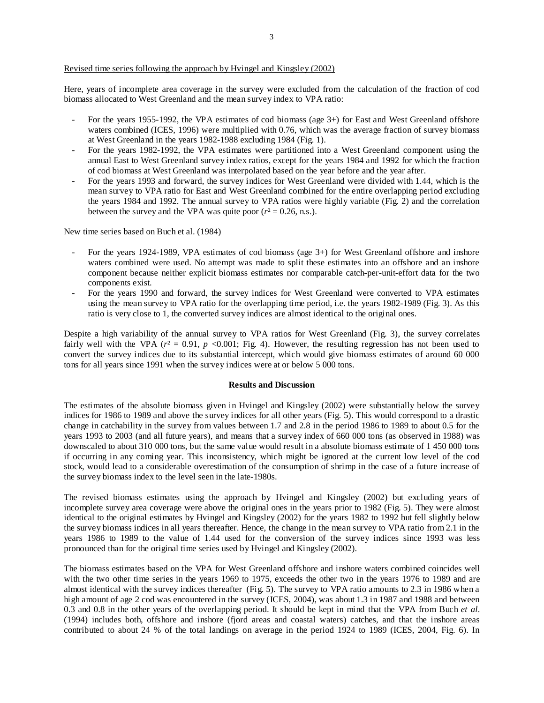### Revised time series following the approach by Hvingel and Kingsley (2002)

Here, years of incomplete area coverage in the survey were excluded from the calculation of the fraction of cod biomass allocated to West Greenland and the mean survey index to VPA ratio:

- For the years 1955-1992, the VPA estimates of cod biomass (age 3+) for East and West Greenland offshore waters combined (ICES, 1996) were multiplied with 0.76, which was the average fraction of survey biomass at West Greenland in the years 1982-1988 excluding 1984 (Fig. 1).
- For the years 1982-1992, the VPA estimates were partitioned into a West Greenland component using the annual East to West Greenland survey index ratios, except for the years 1984 and 1992 for which the fraction of cod biomass at West Greenland was interpolated based on the year before and the year after.
- For the years 1993 and forward, the survey indices for West Greenland were divided with 1.44, which is the mean survey to VPA ratio for East and West Greenland combined for the entire overlapping period excluding the years 1984 and 1992. The annual survey to VPA ratios were highly variable (Fig. 2) and the correlation between the survey and the VPA was quite poor  $(r^2 = 0.26, n.s.).$

#### New time series based on Buch et al. (1984)

- For the years 1924-1989, VPA estimates of cod biomass (age 3+) for West Greenland offshore and inshore waters combined were used. No attempt was made to split these estimates into an offshore and an inshore component because neither explicit biomass estimates nor comparable catch-per-unit-effort data for the two components exist.
- For the years 1990 and forward, the survey indices for West Greenland were converted to VPA estimates using the mean survey to VPA ratio for the overlapping time period, i.e. the years 1982-1989 (Fig. 3). As this ratio is very close to 1, the converted survey indices are almost identical to the original ones.

Despite a high variability of the annual survey to VPA ratios for West Greenland (Fig. 3), the survey correlates fairly well with the VPA ( $r^2 = 0.91$ ,  $p \le 0.001$ ; Fig. 4). However, the resulting regression has not been used to convert the survey indices due to its substantial intercept, which would give biomass estimates of around 60 000 tons for all years since 1991 when the survey indices were at or below 5 000 tons.

### **Results and Discussion**

The estimates of the absolute biomass given in Hvingel and Kingsley (2002) were substantially below the survey indices for 1986 to 1989 and above the survey indices for all other years (Fig. 5). This would correspond to a drastic change in catchability in the survey from values between 1.7 and 2.8 in the period 1986 to 1989 to about 0.5 for the years 1993 to 2003 (and all future years), and means that a survey index of 660 000 tons (as observed in 1988) was downscaled to about 310 000 tons, but the same value would result in a absolute biomass estimate of 1 450 000 tons if occurring in any coming year. This inconsistency, which might be ignored at the current low level of the cod stock, would lead to a considerable overestimation of the consumption of shrimp in the case of a future increase of the survey biomass index to the level seen in the late-1980s.

The revised biomass estimates using the approach by Hvingel and Kingsley (2002) but excluding years of incomplete survey area coverage were above the original ones in the years prior to 1982 (Fig. 5). They were almost identical to the original estimates by Hvingel and Kingsley (2002) for the years 1982 to 1992 but fell slightly below the survey biomass indices in all years thereafter. Hence, the change in the mean survey to VPA ratio from 2.1 in the years 1986 to 1989 to the value of 1.44 used for the conversion of the survey indices since 1993 was less pronounced than for the original time series used by Hvingel and Kingsley (2002).

The biomass estimates based on the VPA for West Greenland offshore and inshore waters combined coincides well with the two other time series in the years 1969 to 1975, exceeds the other two in the years 1976 to 1989 and are almost identical with the survey indices thereafter (Fig. 5). The survey to VPA ratio amounts to 2.3 in 1986 when a high amount of age 2 cod was encountered in the survey (ICES, 2004), was about 1.3 in 1987 and 1988 and between 0.3 and 0.8 in the other years of the overlapping period. It should be kept in mind that the VPA from Buch *et al*. (1994) includes both, offshore and inshore (fjord areas and coastal waters) catches, and that the inshore areas contributed to about 24 % of the total landings on average in the period 1924 to 1989 (ICES, 2004, Fig. 6). In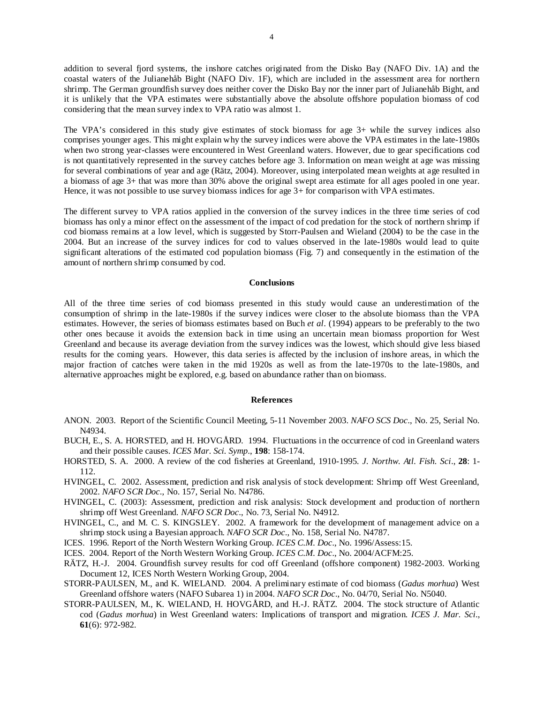addition to several fjord systems, the inshore catches originated from the Disko Bay (NAFO Div. 1A) and the coastal waters of the Julianehåb Bight (NAFO Div. 1F), which are included in the assessment area for northern shrimp. The German groundfish survey does neither cover the Disko Bay nor the inner part of Julianehåb Bight, and it is unlikely that the VPA estimates were substantially above the absolute offshore population biomass of cod considering that the mean survey index to VPA ratio was almost 1.

The VPA's considered in this study give estimates of stock biomass for age 3+ while the survey indices also comprises younger ages. This might explain why the survey indices were above the VPA estimates in the late-1980s when two strong year-classes were encountered in West Greenland waters. However, due to gear specifications cod is not quantitatively represented in the survey catches before age 3. Information on mean weight at age was missing for several combinations of year and age (Rätz, 2004). Moreover, using interpolated mean weights at age resulted in a biomass of age 3+ that was more than 30% above the original swept area estimate for all ages pooled in one year. Hence, it was not possible to use survey biomass indices for age  $3+$  for comparison with VPA estimates.

The different survey to VPA ratios applied in the conversion of the survey indices in the three time series of cod biomass has only a minor effect on the assessment of the impact of cod predation for the stock of northern shrimp if cod biomass remains at a low level, which is suggested by Storr-Paulsen and Wieland (2004) to be the case in the 2004. But an increase of the survey indices for cod to values observed in the late-1980s would lead to quite significant alterations of the estimated cod population biomass (Fig. 7) and consequently in the estimation of the amount of northern shrimp consumed by cod.

#### **Conclusions**

All of the three time series of cod biomass presented in this study would cause an underestimation of the consumption of shrimp in the late-1980s if the survey indices were closer to the absolute biomass than the VPA estimates. However, the series of biomass estimates based on Buch *et al*. (1994) appears to be preferably to the two other ones because it avoids the extension back in time using an uncertain mean biomass proportion for West Greenland and because its average deviation from the survey indices was the lowest, which should give less biased results for the coming years. However, this data series is affected by the inclusion of inshore areas, in which the major fraction of catches were taken in the mid 1920s as well as from the late-1970s to the late-1980s, and alternative approaches might be explored, e.g. based on abundance rather than on biomass.

#### **References**

- ANON. 2003. Report of the Scientific Council Meeting, 5-11 November 2003. *NAFO SCS Doc*., No. 25, Serial No. N4934.
- BUCH, E., S. A. HORSTED, and H. HOVGÅRD. 1994. Fluctuations in the occurrence of cod in Greenland waters and their possible causes. *ICES Mar. Sci. Symp*., **198**: 158-174.
- HORSTED, S. A. 2000. A review of the cod fisheries at Greenland, 1910-1995*. J. Northw. Atl. Fish. Sci*., **28**: 1- 112.
- HVINGEL, C. 2002. Assessment, prediction and risk analysis of stock development: Shrimp off West Greenland, 2002. *NAFO SCR Doc*., No. 157, Serial No. N4786.
- HVINGEL, C. (2003): Assessment, prediction and risk analysis: Stock development and production of northern shrimp off West Greenland. *NAFO SCR Doc*., No. 73, Serial No. N4912.
- HVINGEL, C., and M. C. S. KINGSLEY. 2002. A framework for the development of management advice on a shrimp stock using a Bayesian approach. *NAFO SCR Doc*., No. 158, Serial No. N4787.
- ICES. 1996. Report of the North Western Working Group. *ICES C.M. Doc*., No. 1996/Assess:15.
- ICES. 2004. Report of the North Western Working Group. *ICES C.M. Doc*., No. 2004/ACFM:25.
- RÄTZ, H.-J. 2004. Groundfish survey results for cod off Greenland (offshore component) 1982-2003. Working Document 12, ICES North Western Working Group, 2004.
- STORR-PAULSEN, M., and K. WIELAND. 2004. A preliminary estimate of cod biomass (*Gadus morhua*) West Greenland offshore waters (NAFO Subarea 1) in 2004. *NAFO SCR Doc*., No. 04/70, Serial No. N5040.
- STORR-PAULSEN, M., K. WIELAND, H. HOVGÅRD, and H.-J. RÄTZ. 2004. The stock structure of Atlantic cod (*Gadus morhua*) in West Greenland waters: Implications of transport and migration. *ICES J. Mar. Sci*., **61**(6): 972-982.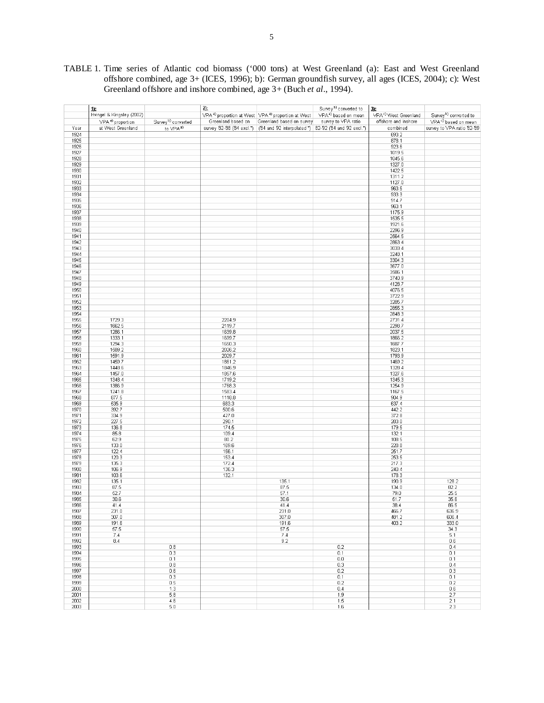|  |  |  |                                                                              |  |  | TABLE 1. Time series of Atlantic cod biomass ('000 tons) at West Greenland (a): East and West Greenland |  |  |  |
|--|--|--|------------------------------------------------------------------------------|--|--|---------------------------------------------------------------------------------------------------------|--|--|--|
|  |  |  |                                                                              |  |  | offshore combined, age 3+ (ICES, 1996); b): German groundfish survey, all ages (ICES, 2004); c): West   |  |  |  |
|  |  |  | Greenland offshore and inshore combined, age 3+ (Buch <i>et al.</i> , 1994). |  |  |                                                                                                         |  |  |  |

|      | $\mathbf{1}$                 |                                | $2$ :                       |                                                                            | Survey <sup>b)</sup> converted to | 3):                              |                                   |
|------|------------------------------|--------------------------------|-----------------------------|----------------------------------------------------------------------------|-----------------------------------|----------------------------------|-----------------------------------|
|      | Hvingel & Kingsley (2002)    |                                |                             | VPA <sup>a)</sup> proportion at West VPA <sup>a</sup> ) proportion at West | VPA <sup>a)</sup> based on mean   | VPA <sup>c)</sup> West Greenland | Survey <sup>b)</sup> converted to |
|      |                              |                                |                             |                                                                            |                                   |                                  |                                   |
|      | VPA <sup>a)</sup> proportion | Survey <sup>b)</sup> converted | Greenland based on          | Greenland based on survey                                                  | survey to VPA ratio               | offshore and inshore             | VPA <sup>o)</sup> based on mean   |
| Year | at West Greenland            | to VPA <sup>a)</sup>           | survey '82-'88 ('84 excl.*) | ('84 and '92 interpolated *) 82-92 ('84 and '92 excl.*)                    |                                   | combined                         | survey to VPA ratio 82-89         |
| 1924 |                              |                                |                             |                                                                            |                                   | 693.2                            |                                   |
| 1925 |                              |                                |                             |                                                                            |                                   | 878.1                            |                                   |
| 1926 |                              |                                |                             |                                                                            |                                   | 923.6                            |                                   |
| 1927 |                              |                                |                             |                                                                            |                                   | 1019.5                           |                                   |
| 1928 |                              |                                |                             |                                                                            |                                   | 1045.6                           |                                   |
| 1929 |                              |                                |                             |                                                                            |                                   | 1327.0                           |                                   |
| 1930 |                              |                                |                             |                                                                            |                                   | 1422.5                           |                                   |
| 1931 |                              |                                |                             |                                                                            |                                   | 1311.2                           |                                   |
| 1932 |                              |                                |                             |                                                                            |                                   | 1127.0                           |                                   |
| 1933 |                              |                                |                             |                                                                            |                                   | 963.5                            |                                   |
|      |                              |                                |                             |                                                                            |                                   |                                  |                                   |
| 1934 |                              |                                |                             |                                                                            |                                   | 933.3                            |                                   |
| 1935 |                              |                                |                             |                                                                            |                                   | 914.7                            |                                   |
| 1936 |                              |                                |                             |                                                                            |                                   | 963.1                            |                                   |
| 1937 |                              |                                |                             |                                                                            |                                   | 1175.9                           |                                   |
| 1938 |                              |                                |                             |                                                                            |                                   | 1535.5                           |                                   |
| 1939 |                              |                                |                             |                                                                            |                                   | 1921.6                           |                                   |
| 1940 |                              |                                |                             |                                                                            |                                   | 2296.9                           |                                   |
| 1941 |                              |                                |                             |                                                                            |                                   | 2564.5                           |                                   |
| 1942 |                              |                                |                             |                                                                            |                                   | 2863.4                           |                                   |
| 1943 |                              |                                |                             |                                                                            |                                   | 3033.4                           |                                   |
| 1944 |                              |                                |                             |                                                                            |                                   | 3248.1                           |                                   |
| 1945 |                              |                                |                             |                                                                            |                                   | 3304.3                           |                                   |
| 1946 |                              |                                |                             |                                                                            |                                   | 3677.0                           |                                   |
| 1947 |                              |                                |                             |                                                                            |                                   | 3586.1                           |                                   |
| 1948 |                              |                                |                             |                                                                            |                                   | 3740.9                           |                                   |
|      |                              |                                |                             |                                                                            |                                   |                                  |                                   |
| 1949 |                              |                                |                             |                                                                            |                                   | 4128.7                           |                                   |
| 1950 |                              |                                |                             |                                                                            |                                   | 4076.5                           |                                   |
| 1951 |                              |                                |                             |                                                                            |                                   | 3722.9                           |                                   |
| 1952 |                              |                                |                             |                                                                            |                                   | 3285.7                           |                                   |
| 1953 |                              |                                |                             |                                                                            |                                   | 2855.3                           |                                   |
| 1954 |                              |                                |                             |                                                                            |                                   | 2848.3                           |                                   |
| 1955 | 1729.3                       |                                | 2204.9                      |                                                                            |                                   | 2731.4                           |                                   |
| 1956 | 1662.5                       |                                | 2119.7                      |                                                                            |                                   | 2298.7                           |                                   |
| 1957 | 1286.1                       |                                | 1639.8                      |                                                                            |                                   | 2037.5                           |                                   |
| 1958 | 1333.1                       |                                | 1699.7                      |                                                                            |                                   | 1866.2                           |                                   |
| 1959 | 1294.3                       |                                | 1650.3                      |                                                                            |                                   | 1687.7                           |                                   |
| 1960 | 1589.2                       |                                | 2026.2                      |                                                                            |                                   | 1823.1                           |                                   |
| 1961 | 1591.9                       |                                | 2029.7                      |                                                                            |                                   | 1793.9                           |                                   |
| 1962 | 1459.7                       |                                | 1861.2                      |                                                                            |                                   | 1469.2                           |                                   |
| 1963 | 1448.6                       |                                | 1846.9                      |                                                                            |                                   | 1328.4                           |                                   |
| 1964 | 1457.0                       |                                | 1857.6                      |                                                                            |                                   | 1327.6                           |                                   |
|      |                              |                                |                             |                                                                            |                                   |                                  |                                   |
| 1965 | 1348.4                       |                                | 1719.2                      |                                                                            |                                   | 1345.3                           |                                   |
| 1966 | 1386.9                       |                                | 1768.3                      |                                                                            |                                   | 1254.9                           |                                   |
| 1967 | 1241.8                       |                                | 1583.4                      |                                                                            |                                   | 1167.5                           |                                   |
| 1968 | 877.5                        |                                | 1118.8                      |                                                                            |                                   | 904.9                            |                                   |
| 1969 | 535.9                        |                                | 683.3                       |                                                                            |                                   | 637.4                            |                                   |
| 1970 | 392.7                        |                                | 500.6                       |                                                                            |                                   | 442.2                            |                                   |
| 1971 | 334.9                        |                                | 427.0                       |                                                                            |                                   | 372.8                            |                                   |
| 1972 | 227.5                        |                                | 290.1                       |                                                                            |                                   | 283.0                            |                                   |
| 1973 | 136.8                        |                                | 174.5                       |                                                                            |                                   | 179.5                            |                                   |
| 1974 | 85.8                         |                                | 109.4                       |                                                                            |                                   | 132.1                            |                                   |
| 1975 | 62.9                         |                                | 80.2                        |                                                                            |                                   | 108.5                            |                                   |
| 1976 | 133.0                        |                                | 169.6                       |                                                                            |                                   | 228.8                            |                                   |
| 1977 | 122.4                        |                                | 156.1                       |                                                                            |                                   | 251.7                            |                                   |
| 1978 | 120.3                        |                                | 153.4                       |                                                                            |                                   | 253.5                            |                                   |
| 1979 | 135.3                        |                                | 172.4                       |                                                                            |                                   | 217.3                            |                                   |
| 1980 | 106.9                        |                                | 136.3                       |                                                                            |                                   | 240.4                            |                                   |
| 1981 | 103.6                        |                                | 132.1                       |                                                                            |                                   | 178.3                            |                                   |
| 1982 | 135.1                        |                                |                             | 135.1                                                                      |                                   | 190.9                            | 128.2                             |
| 1983 | 87.5                         |                                |                             | 87.5                                                                       |                                   | 134.0                            | 82.2                              |
| 1984 | 52.7                         |                                |                             | 57.1                                                                       |                                   | 79.0                             | 25.5                              |
| 1985 | 30.6                         |                                |                             | 30.6                                                                       |                                   | 51.7                             | 35.6                              |
|      |                              |                                |                             |                                                                            |                                   |                                  |                                   |
| 1986 | 41.4                         |                                |                             | 41.4                                                                       |                                   | 38.4                             | 86.5                              |
| 1987 | 231.0                        |                                |                             | 231.0                                                                      |                                   | 466.7                            | 636.9                             |
| 1988 | 307.0                        |                                |                             | 307.0                                                                      |                                   | 481.2                            | 606.4                             |
| 1989 | 191.6                        |                                |                             | 191.6                                                                      |                                   | 403.2                            | 333.0                             |
| 1990 | 57.5                         |                                |                             | 57.5                                                                       |                                   |                                  | 34.3                              |
| 1991 | 7.4                          |                                |                             | 7.4                                                                        |                                   |                                  | 5.1                               |
| 1992 | 8.4                          |                                |                             | 9.2                                                                        |                                   |                                  | 0.6                               |
| 1993 |                              | 0.8                            |                             |                                                                            | 0.2                               |                                  | 0.4                               |
| 1994 |                              | 0.3                            |                             |                                                                            | 0.1                               |                                  | 0.1                               |
| 1995 |                              | 0.1                            |                             |                                                                            | 0.0                               |                                  | 0.1                               |
| 1996 |                              | 0.8                            |                             |                                                                            | 0.3                               |                                  | 0.4                               |
| 1997 |                              | 0.6                            |                             |                                                                            | 0.2                               |                                  | 0.3                               |
| 1998 |                              | 0.3                            |                             |                                                                            | 0.1                               |                                  | 0.1                               |
| 1999 |                              | 0.5                            |                             |                                                                            | 0.2                               |                                  | 0.2                               |
| 2000 |                              | 1.3                            |                             |                                                                            | 0.4                               |                                  | 0.6                               |
| 2001 |                              | 5.8                            |                             |                                                                            | 1.9                               |                                  | 2.7                               |
|      |                              |                                |                             |                                                                            |                                   |                                  |                                   |
| 2002 |                              | 4.6                            |                             |                                                                            | 1.5                               |                                  | 2.1                               |
| 2003 |                              | 5.0                            |                             |                                                                            | 1.6                               |                                  | 2.3                               |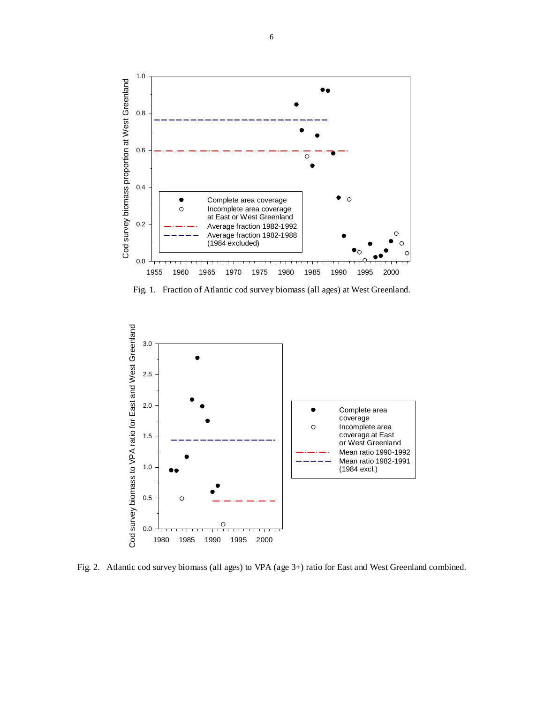

Fig. 1. Fraction of Atlantic cod survey biomass (all ages) at West Greenland.



Fig. 2. Atlantic cod survey biomass (all ages) to VPA (age 3+) ratio for East and West Greenland combined.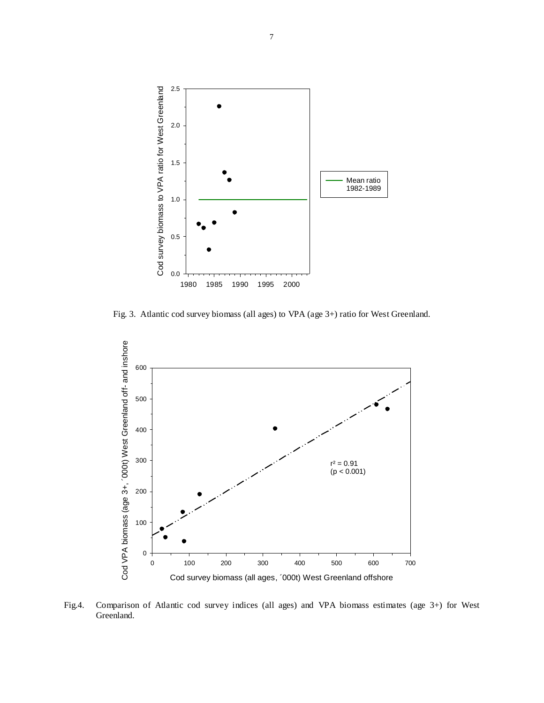

Fig. 3. Atlantic cod survey biomass (all ages) to VPA (age 3+) ratio for West Greenland.



Fig.4. Comparison of Atlantic cod survey indices (all ages) and VPA biomass estimates (age 3+) for West Greenland.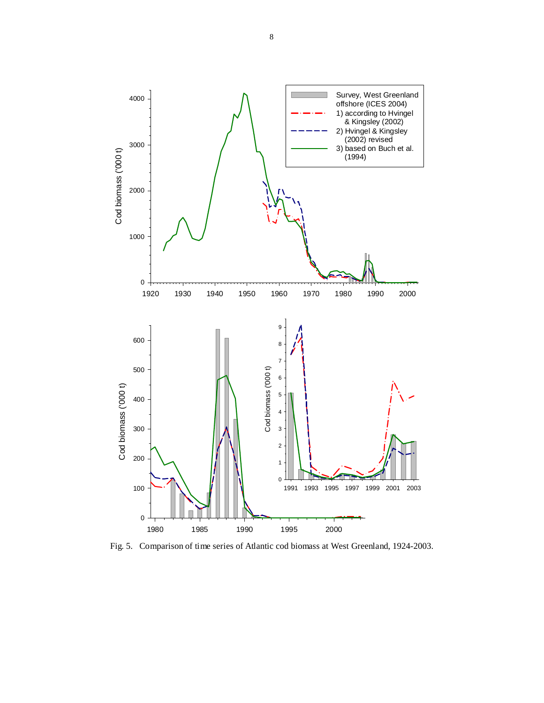

Fig. 5. Comparison of time series of Atlantic cod biomass at West Greenland, 1924-2003.